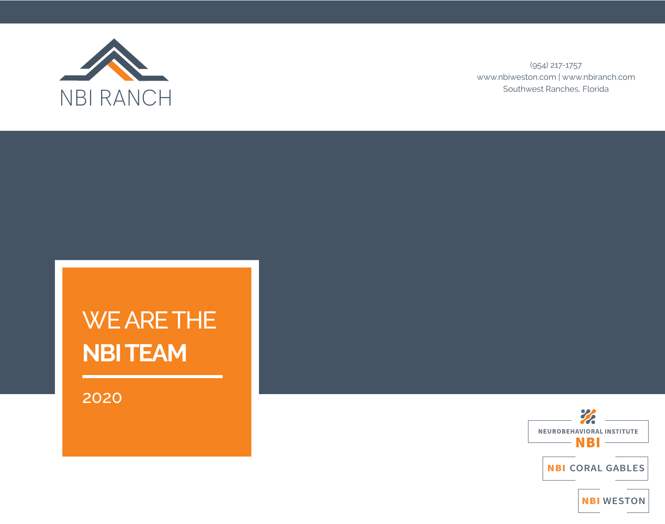

(954) 217-1757 www.nbiweston.com | www.nbiranch.com Southwest Ranches, Florida

# WE ARE THE **NBI TEAM**

2020

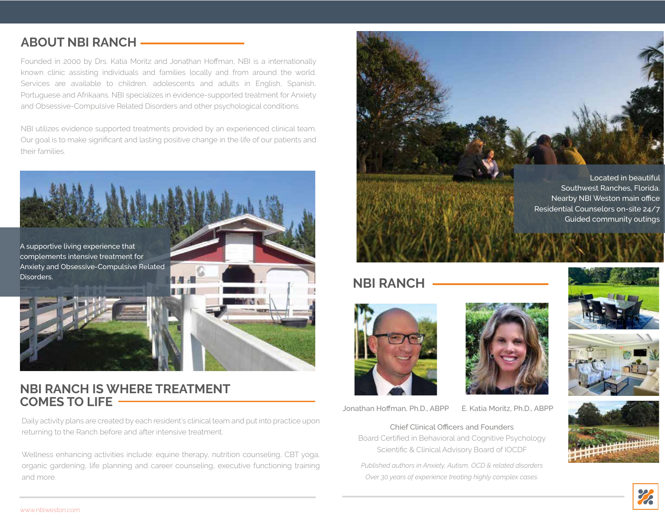#### **ABOUT NBI RANCH**

Founded in 2000 by Drs. Katia Moritz and Jonathan Hoffman, NBI is a internationally known clinic assisting individuals and families locally and from around the world. Services are available to children, adolescents and adults in English, Spanish, Portuguese and Afrikaans. NBI specializes in evidence-supported treatment for Anxiety and Obsessive-Compulsive Related Disorders and other psychological conditions.

NBI utilizes evidence supported treatments provided by an experienced clinical team. Our goal is to make significant and lasting positive change in the life of our patients and their families.



A supportive living experience that complements intensive treatment for Anxiety and Obsessive-Compulsive Related Disorders.



#### **NBI RANCH IS WHERE TREATMENT COMES TO LIFE**

Daily activity plans are created by each resident's clinical team and put into practice upon returning to the Ranch before and after intensive treatment.

Wellness enhancing activities include: equine therapy, nutrition counseling, CBT yoga, organic gardening, life planning and career counseling, executive functioning training and more.



Southwest Ranches, Florida. Nearby NBI Weston main office Residential Counselors on-site 24/7 Guided community outings

#### **NBI RANCH**



Jonathan Hoffman, Ph.D., ABPP E. Katia Moritz, Ph.D., ABPP

Chief Clinical Officers and Founders Board Certified in Behavioral and Cognitive Psychology Scientific & Clinical Advisory Board of IOCDF

*Published authors in Anxiety, Autism, OCD & related disorders Over 30 years of experience treating highly complex cases.*





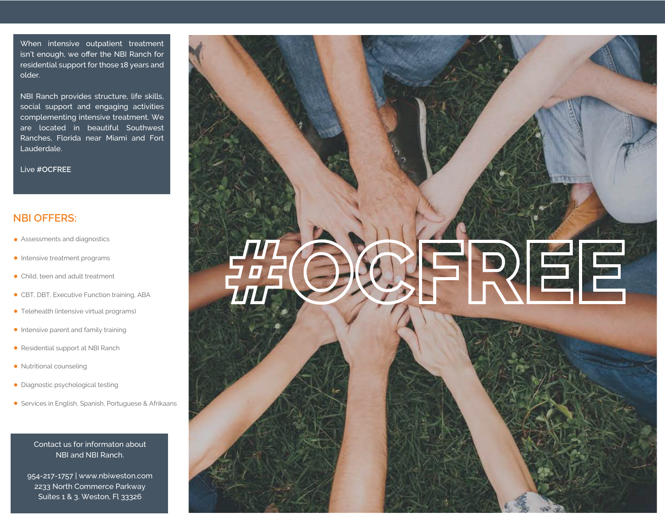When intensive outpatient treatment isn't enough, we offer the NBI Ranch for residential support for those 18 years and older.

NBI Ranch provides structure, life skills, social support and engaging activities complementing intensive treatment. We are located in beautiful Southwest Ranches, Florida near Miami and Fort Lauderdale.

Live **#OCFREE**

#### **NBI OFFERS:**

- **•** Assessments and diagnostics
- Intensive treatment programs
- Child, teen and adult treatment
- CBT, DBT, Executive Function training, ABA
- Telehealth (intensive virtual programs)
- **Intensive parent and family training**
- Residential support at NBI Ranch
- Nutritional counseling
- Diagnostic psychological testing
- **•** Services in English, Spanish, Portuguese & Afrikaans

#### Contact us for informaton about NBI and NBI Ranch.

954-217-1757 | www.nbiweston.com 2233 North Commerce Parkway Suites 1 & 3. Weston, Fl 33326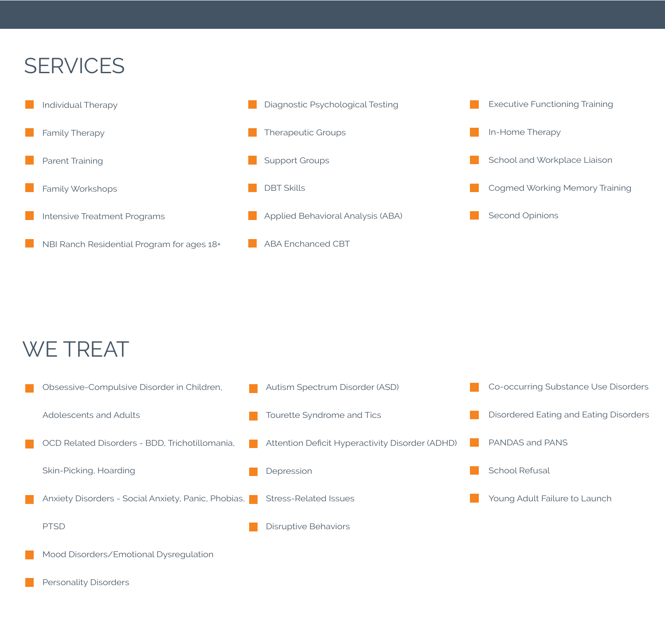## **SERVICES**



### WE TREAT

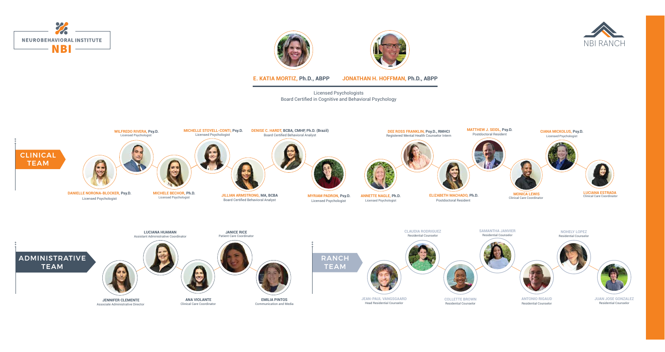Licensed Psychologists Board Certified in Cognitive and Behavioral Psychology

**E. KATIA MORTIZ, Ph.D., ABPP JONATHAN H. HOFFMAN, Ph.D., ABPP**